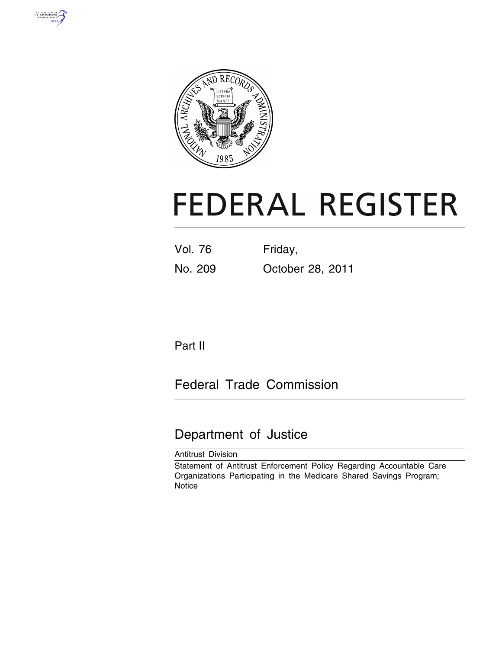



# **FEDERAL REGISTER**

| <b>Vol. 76</b> | Friday,          |
|----------------|------------------|
| No. 209        | October 28, 2011 |

## Part II

Federal Trade Commission

## Department of Justice

Antitrust Division

Statement of Antitrust Enforcement Policy Regarding Accountable Care Organizations Participating in the Medicare Shared Savings Program; **Notice**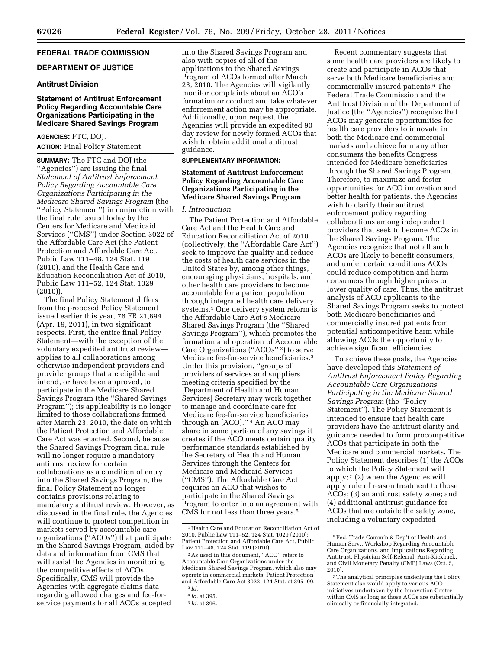#### **FEDERAL TRADE COMMISSION**

#### **DEPARTMENT OF JUSTICE**

#### **Antitrust Division**

#### **Statement of Antitrust Enforcement Policy Regarding Accountable Care Organizations Participating in the Medicare Shared Savings Program**

### **AGENCIES:** FTC, DOJ.

**ACTION:** Final Policy Statement.

**SUMMARY:** The FTC and DOJ (the ''Agencies'') are issuing the final *Statement of Antitrust Enforcement Policy Regarding Accountable Care Organizations Participating in the Medicare Shared Savings Program* (the ''Policy Statement'') in conjunction with the final rule issued today by the Centers for Medicare and Medicaid Services (''CMS'') under Section 3022 of the Affordable Care Act (the Patient Protection and Affordable Care Act, Public Law 111–48, 124 Stat. 119 (2010), and the Health Care and Education Reconciliation Act of 2010, Public Law 111–52, 124 Stat. 1029 (2010)).

The final Policy Statement differs from the proposed Policy Statement issued earlier this year, 76 FR 21,894 (Apr. 19, 2011), in two significant respects. First, the entire final Policy Statement—with the exception of the voluntary expedited antitrust review applies to all collaborations among otherwise independent providers and provider groups that are eligible and intend, or have been approved, to participate in the Medicare Shared Savings Program (the ''Shared Savings Program''); its applicability is no longer limited to those collaborations formed after March 23, 2010, the date on which the Patient Protection and Affordable Care Act was enacted. Second, because the Shared Savings Program final rule will no longer require a mandatory antitrust review for certain collaborations as a condition of entry into the Shared Savings Program, the final Policy Statement no longer contains provisions relating to mandatory antitrust review. However, as discussed in the final rule, the Agencies will continue to protect competition in markets served by accountable care organizations (''ACOs'') that participate in the Shared Savings Program, aided by data and information from CMS that will assist the Agencies in monitoring the competitive effects of ACOs. Specifically, CMS will provide the Agencies with aggregate claims data regarding allowed charges and fee-forservice payments for all ACOs accepted

into the Shared Savings Program and also with copies of all of the applications to the Shared Savings Program of ACOs formed after March 23, 2010. The Agencies will vigilantly monitor complaints about an ACO's formation or conduct and take whatever enforcement action may be appropriate. Additionally, upon request, the Agencies will provide an expedited 90 day review for newly formed ACOs that wish to obtain additional antitrust guidance.

#### **SUPPLEMENTARY INFORMATION:**

#### **Statement of Antitrust Enforcement Policy Regarding Accountable Care Organizations Participating in the Medicare Shared Savings Program**

#### *I. Introduction*

The Patient Protection and Affordable Care Act and the Health Care and Education Reconciliation Act of 2010 (collectively, the ''Affordable Care Act'') seek to improve the quality and reduce the costs of health care services in the United States by, among other things, encouraging physicians, hospitals, and other health care providers to become accountable for a patient population through integrated health care delivery systems.1 One delivery system reform is the Affordable Care Act's Medicare Shared Savings Program (the ''Shared Savings Program''), which promotes the formation and operation of Accountable Care Organizations (''ACOs'' 2) to serve Medicare fee-for-service beneficiaries.3 Under this provision, ''groups of providers of services and suppliers meeting criteria specified by the [Department of Health and Human Services] Secretary may work together to manage and coordinate care for Medicare fee-for-service beneficiaries through an [ACO].'' 4 An ACO may share in some portion of any savings it creates if the ACO meets certain quality performance standards established by the Secretary of Health and Human Services through the Centers for Medicare and Medicaid Services (''CMS''). The Affordable Care Act requires an ACO that wishes to participate in the Shared Savings Program to enter into an agreement with CMS for not less than three years.<sup>5</sup>

Recent commentary suggests that some health care providers are likely to create and participate in ACOs that serve both Medicare beneficiaries and commercially insured patients.6 The Federal Trade Commission and the Antitrust Division of the Department of Justice (the ''Agencies'') recognize that ACOs may generate opportunities for health care providers to innovate in both the Medicare and commercial markets and achieve for many other consumers the benefits Congress intended for Medicare beneficiaries through the Shared Savings Program. Therefore, to maximize and foster opportunities for ACO innovation and better health for patients, the Agencies wish to clarify their antitrust enforcement policy regarding collaborations among independent providers that seek to become ACOs in the Shared Savings Program. The Agencies recognize that not all such ACOs are likely to benefit consumers, and under certain conditions ACOs could reduce competition and harm consumers through higher prices or lower quality of care. Thus, the antitrust analysis of ACO applicants to the Shared Savings Program seeks to protect both Medicare beneficiaries and commercially insured patients from potential anticompetitive harm while allowing ACOs the opportunity to achieve significant efficiencies.

To achieve these goals, the Agencies have developed this *Statement of Antitrust Enforcement Policy Regarding Accountable Care Organizations Participating in the Medicare Shared Savings Program* (the ''Policy Statement''). The Policy Statement is intended to ensure that health care providers have the antitrust clarity and guidance needed to form procompetitive ACOs that participate in both the Medicare and commercial markets. The Policy Statement describes (1) the ACOs to which the Policy Statement will apply; 7 (2) when the Agencies will apply rule of reason treatment to those ACOs; (3) an antitrust safety zone; and (4) additional antitrust guidance for ACOs that are outside the safety zone, including a voluntary expedited

<sup>1</sup>Health Care and Education Reconciliation Act of 2010, Public Law 111–52, 124 Stat. 1029 (2010); Patient Protection and Affordable Care Act, Public Law 111–48, 124 Stat. 119 (2010).

<sup>2</sup>As used in this document, ''ACO'' refers to Accountable Care Organizations under the Medicare Shared Savings Program, which also may operate in commercial markets. Patient Protection and Affordable Care Act 3022, 124 Stat. at 395–99. 3 *Id.* 

<sup>4</sup> *Id.* at 395.

<sup>5</sup> *Id.* at 396.

<sup>6</sup>Fed. Trade Comm'n & Dep't of Health and Human Serv., Workshop Regarding Accountable Care Organizations, and Implications Regarding Antitrust, Physician Self-Referral, Anti-Kickback, and Civil Monetary Penalty (CMP) Laws (Oct. 5, 2010).

<sup>7</sup>The analytical principles underlying the Policy Statement also would apply to various ACO initiatives undertaken by the Innovation Center within CMS as long as those ACOs are substantially clinically or financially integrated.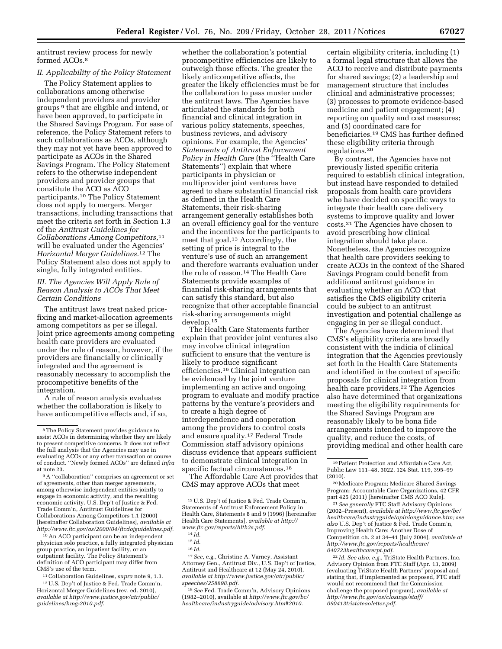antitrust review process for newly formed ACOs.8

#### *II. Applicability of the Policy Statement*

The Policy Statement applies to collaborations among otherwise independent providers and provider groups 9 that are eligible and intend, or have been approved, to participate in the Shared Savings Program. For ease of reference, the Policy Statement refers to such collaborations as ACOs, although they may not yet have been approved to participate as ACOs in the Shared Savings Program. The Policy Statement refers to the otherwise independent providers and provider groups that constitute the ACO as ACO participants.10 The Policy Statement does not apply to mergers. Merger transactions, including transactions that meet the criteria set forth in Section 1.3 of the *Antitrust Guidelines for Collaborations Among Competitors,*11 will be evaluated under the Agencies' *Horizontal Merger Guidelines.*12 The Policy Statement also does not apply to single, fully integrated entities.

#### *III. The Agencies Will Apply Rule of Reason Analysis to ACOs That Meet Certain Conditions*

The antitrust laws treat naked pricefixing and market-allocation agreements among competitors as per se illegal. Joint price agreements among competing health care providers are evaluated under the rule of reason, however, if the providers are financially or clinically integrated and the agreement is reasonably necessary to accomplish the procompetitive benefits of the integration.

A rule of reason analysis evaluates whether the collaboration is likely to have anticompetitive effects and, if so,

10An ACO participant can be an independent physician solo practice, a fully integrated physician group practice, an inpatient facility, or an outpatient facility. The Policy Statement's definition of ACO participant may differ from CMS's use of the term.

11Collaboration Guidelines, *supra* note 9, 1.3.

12U.S. Dep't of Justice & Fed. Trade Comm'n, Horizontal Merger Guidelines (rev. ed. 2010), *available at [http://www.justice.gov/atr/public/](http://www.justice.gov/atr/public/guidelines/hmg-2010.pdf) [guidelines/hmg-2010.pdf.](http://www.justice.gov/atr/public/guidelines/hmg-2010.pdf)* 

whether the collaboration's potential procompetitive efficiencies are likely to outweigh those effects. The greater the likely anticompetitive effects, the greater the likely efficiencies must be for the collaboration to pass muster under the antitrust laws. The Agencies have articulated the standards for both financial and clinical integration in various policy statements, speeches, business reviews, and advisory opinions. For example, the Agencies' *Statements of Antitrust Enforcement Policy in Health Care* (the ''Health Care Statements'') explain that where participants in physician or multiprovider joint ventures have agreed to share substantial financial risk as defined in the Health Care Statements, their risk-sharing arrangement generally establishes both an overall efficiency goal for the venture and the incentives for the participants to meet that goal.13 Accordingly, the setting of price is integral to the venture's use of such an arrangement and therefore warrants evaluation under the rule of reason.14 The Health Care Statements provide examples of financial risk-sharing arrangements that can satisfy this standard, but also recognize that other acceptable financial risk-sharing arrangements might develop.15

The Health Care Statements further explain that provider joint ventures also may involve clinical integration sufficient to ensure that the venture is likely to produce significant efficiencies.16 Clinical integration can be evidenced by the joint venture implementing an active and ongoing program to evaluate and modify practice patterns by the venture's providers and to create a high degree of interdependence and cooperation among the providers to control costs and ensure quality.17 Federal Trade Commission staff advisory opinions discuss evidence that appears sufficient to demonstrate clinical integration in specific factual circumstances.18

The Affordable Care Act provides that CMS may approve ACOs that meet

17*See,* e.g., Christine A. Varney, Assistant Attorney Gen., Antitrust Div., U.S. Dep't of Justice, Antitrust and Healthcare at 12 (May 24, 2010), *available at [http://www.justice.gov/atr/public/](http://www.justice.gov/atr/public/speeches/258898.pdf) [speeches/258898.pdf.](http://www.justice.gov/atr/public/speeches/258898.pdf)* 

18*See* Fed. Trade Comm'n, Advisory Opinions (1982–2010), available at *[http://www.ftc.gov/bc/](http://www.ftc.gov/bc/healthcare/industryguide/advisory.htm#2010) [healthcare/industryguide/advisory.htm#2010.](http://www.ftc.gov/bc/healthcare/industryguide/advisory.htm#2010)* 

certain eligibility criteria, including (1) a formal legal structure that allows the ACO to receive and distribute payments for shared savings; (2) a leadership and management structure that includes clinical and administrative processes; (3) processes to promote evidence-based medicine and patient engagement; (4) reporting on quality and cost measures; and (5) coordinated care for beneficiaries.19 CMS has further defined these eligibility criteria through regulations.20

By contrast, the Agencies have not previously listed specific criteria required to establish clinical integration, but instead have responded to detailed proposals from health care providers who have decided on specific ways to integrate their health care delivery systems to improve quality and lower costs.21 The Agencies have chosen to avoid prescribing how clinical integration should take place. Nonetheless, the Agencies recognize that health care providers seeking to create ACOs in the context of the Shared Savings Program could benefit from additional antitrust guidance in evaluating whether an ACO that satisfies the CMS eligibility criteria could be subject to an antitrust investigation and potential challenge as engaging in per se illegal conduct.

The Agencies have determined that CMS's eligibility criteria are broadly consistent with the indicia of clinical integration that the Agencies previously set forth in the Health Care Statements and identified in the context of specific proposals for clinical integration from health care providers.<sup>22</sup> The Agencies also have determined that organizations meeting the eligibility requirements for the Shared Savings Program are reasonably likely to be bona fide arrangements intended to improve the quality, and reduce the costs, of providing medical and other health care

20Medicare Program; Medicare Shared Savings Program: Accountable Care Organizations, 42 CFR part 425 (2011) [hereinafter CMS ACO Rule].

21*See generally* FTC Staff Advisory Opinions (2002–Present), *available at [http://www.ftc.gov/bc/](http://www.ftc.gov/bc/healthcare/industryguide/opinionguidance.htm)  [healthcare/industryguide/opinionguidance.htm;](http://www.ftc.gov/bc/healthcare/industryguide/opinionguidance.htm) see also* U.S. Dep't of Justice & Fed. Trade Comm'n, Improving Health Care: Another Dose of Competition ch. 2 at 34–41 (July 2004), *available at [http://www.ftc.gov/reports/healthcare/](http://www.ftc.gov/reports/healthcare/040723healthcarerpt.pdf) [040723healthcarerpt.pdf.](http://www.ftc.gov/reports/healthcare/040723healthcarerpt.pdf)* 

22 *Id. See also, e.g.,* TriState Health Partners, Inc. Advisory Opinion from FTC Staff (Apr. 13, 2009) (evaluating TriState Health Partners' proposal and stating that, if implemented as proposed, FTC staff would not recommend that the Commission challenge the proposed program), *available at [http://www.ftc.gov/os/closings/staff/](http://www.ftc.gov/os/closings/staff/090413tristateaoletter.pdf) [090413tristateaoletter.pdf.](http://www.ftc.gov/os/closings/staff/090413tristateaoletter.pdf)* 

<sup>8</sup>The Policy Statement provides guidance to assist ACOs in determining whether they are likely to present competitive concerns. It does not reflect the full analysis that the Agencies may use in evaluating ACOs or any other transaction or course of conduct. ''Newly formed ACOs'' are defined *infra*  at note 23.

<sup>9</sup>A ''collaboration'' comprises an agreement or set of agreements, other than merger agreements, among otherwise independent entities jointly to engage in economic activity, and the resulting economic activity. U.S. Dep't of Justice & Fed. Trade Comm'n, Antitrust Guidelines for Collaborations Among Competitors 1.1 (2000) [hereinafter Collaboration Guidelines], *available at [http://www.ftc.gov/os/2000/04/ftcdojguidelines.pdf.](http://www.ftc.gov/os/2000/04/ftcdojguidelines.pdf)* 

<sup>13</sup>U.S. Dep't of Justice & Fed. Trade Comm'n, Statements of Antitrust Enforcement Policy in Health Care, Statements 8 and 9 (1996) [hereinafter Health Care Statements], *available at [http://](http://www.ftc.gov/reports/hlth3s.pdf) [www.ftc.gov/reports/hlth3s.pdf.](http://www.ftc.gov/reports/hlth3s.pdf)* 

<sup>14</sup> *Id.* 

<sup>15</sup> *Id.* 

<sup>16</sup> *Id.* 

<sup>19</sup>Patient Protection and Affordable Care Act, Public Law 111–48, 3022, 124 Stat. 119, 395–99 (2010).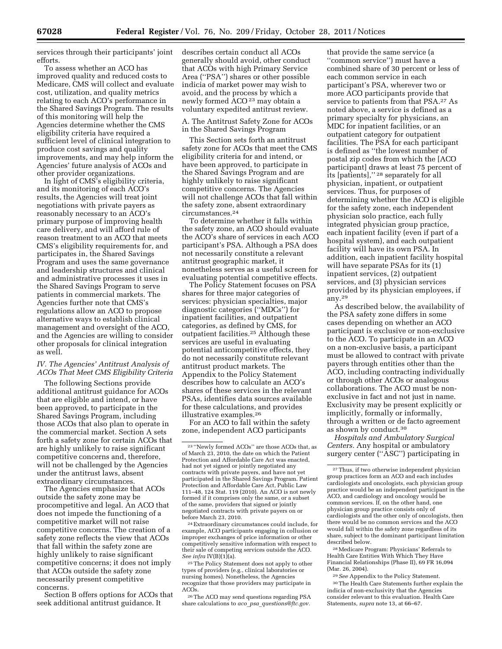services through their participants' joint efforts.

To assess whether an ACO has improved quality and reduced costs to Medicare, CMS will collect and evaluate cost, utilization, and quality metrics relating to each ACO's performance in the Shared Savings Program. The results of this monitoring will help the Agencies determine whether the CMS eligibility criteria have required a sufficient level of clinical integration to produce cost savings and quality improvements, and may help inform the Agencies' future analysis of ACOs and other provider organizations.

In light of CMS's eligibility criteria, and its monitoring of each ACO's results, the Agencies will treat joint negotiations with private payers as reasonably necessary to an ACO's primary purpose of improving health care delivery, and will afford rule of reason treatment to an ACO that meets CMS's eligibility requirements for, and participates in, the Shared Savings Program and uses the same governance and leadership structures and clinical and administrative processes it uses in the Shared Savings Program to serve patients in commercial markets. The Agencies further note that CMS's regulations allow an ACO to propose alternative ways to establish clinical management and oversight of the ACO, and the Agencies are willing to consider other proposals for clinical integration as well.

#### *IV. The Agencies' Antitrust Analysis of ACOs That Meet CMS Eligibility Criteria*

The following Sections provide additional antitrust guidance for ACOs that are eligible and intend, or have been approved, to participate in the Shared Savings Program, including those ACOs that also plan to operate in the commercial market. Section A sets forth a safety zone for certain ACOs that are highly unlikely to raise significant competitive concerns and, therefore, will not be challenged by the Agencies under the antitrust laws, absent extraordinary circumstances.

The Agencies emphasize that ACOs outside the safety zone may be procompetitive and legal. An ACO that does not impede the functioning of a competitive market will not raise competitive concerns. The creation of a safety zone reflects the view that ACOs that fall within the safety zone are highly unlikely to raise significant competitive concerns; it does not imply that ACOs outside the safety zone necessarily present competitive concerns.

Section B offers options for ACOs that seek additional antitrust guidance. It

describes certain conduct all ACOs generally should avoid, other conduct that ACOs with high Primary Service Area (''PSA'') shares or other possible indicia of market power may wish to avoid, and the process by which a newly formed ACO 23 may obtain a voluntary expedited antitrust review.

A. The Antitrust Safety Zone for ACOs in the Shared Savings Program

This Section sets forth an antitrust safety zone for ACOs that meet the CMS eligibility criteria for and intend, or have been approved, to participate in the Shared Savings Program and are highly unlikely to raise significant competitive concerns. The Agencies will not challenge ACOs that fall within the safety zone, absent extraordinary circumstances.24

To determine whether it falls within the safety zone, an ACO should evaluate the ACO's share of services in each ACO participant's PSA. Although a PSA does not necessarily constitute a relevant antitrust geographic market, it nonetheless serves as a useful screen for evaluating potential competitive effects.

The Policy Statement focuses on PSA shares for three major categories of services: physician specialties, major diagnostic categories (''MDCs'') for inpatient facilities, and outpatient categories, as defined by CMS, for outpatient facilities.25 Although these services are useful in evaluating potential anticompetitive effects, they do not necessarily constitute relevant antitrust product markets. The Appendix to the Policy Statement describes how to calculate an ACO's shares of these services in the relevant PSAs, identifies data sources available for these calculations, and provides illustrative examples.26

For an ACO to fall within the safety zone, independent ACO participants

24Extraordinary circumstances could include, for example, ACO participants engaging in collusion or improper exchanges of price information or other competitively sensitive information with respect to their sale of competing services outside the ACO. *See infra* IV(B)(1)(a).

26The ACO may send questions regarding PSA share calculations to *aco*\_*psa*\_*[questions@ftc.gov.](mailto:aco_psa_questions@ftc.gov)* 

that provide the same service (a ''common service'') must have a combined share of 30 percent or less of each common service in each participant's PSA, wherever two or more ACO participants provide that service to patients from that PSA.27 As noted above, a service is defined as a primary specialty for physicians, an MDC for inpatient facilities, or an outpatient category for outpatient facilities. The PSA for each participant is defined as ''the lowest number of postal zip codes from which the [ACO participant] draws at least 75 percent of its [patients],'' 28 separately for all physician, inpatient, or outpatient services. Thus, for purposes of determining whether the ACO is eligible for the safety zone, each independent physician solo practice, each fully integrated physician group practice, each inpatient facility (even if part of a hospital system), and each outpatient facility will have its own PSA. In addition, each inpatient facility hospital will have separate PSAs for its (1) inpatient services, (2) outpatient services, and (3) physician services provided by its physician employees, if any.29

As described below, the availability of the PSA safety zone differs in some cases depending on whether an ACO participant is exclusive or non-exclusive to the ACO. To participate in an ACO on a non-exclusive basis, a participant must be allowed to contract with private payers through entities other than the ACO, including contracting individually or through other ACOs or analogous collaborations. The ACO must be nonexclusive in fact and not just in name. Exclusivity may be present explicitly or implicitly, formally or informally, through a written or de facto agreement as shown by conduct.30

*Hospitals and Ambulatory Surgical Centers.* Any hospital or ambulatory surgery center ("ASC") participating in

28Medicare Program: Physicians' Referrals to Health Care Entities With Which They Have Financial Relationships (Phase II), 69 FR 16,094 (Mar. 26, 2004).

29*See* Appendix to the Policy Statement. 30The Health Care Statements further explain the indicia of non-exclusivity that the Agencies consider relevant to this evaluation. Health Care Statements, *supra* note 13, at 66–67.

<sup>23</sup> ''Newly formed ACOs'' are those ACOs that, as of March 23, 2010, the date on which the Patient Protection and Affordable Care Act was enacted, had not yet signed or jointly negotiated any contracts with private payers, and have not yet participated in the Shared Savings Program. Patient Protection and Affordable Care Act, Public Law 111–48, 124 Stat. 119 (2010). An ACO is not newly formed if it comprises only the same, or a subset of the same, providers that signed or jointly negotiated contracts with private payers on or before March 23, 2010.

<sup>25</sup>The Policy Statement does not apply to other types of providers (e.g., clinical laboratories or nursing homes). Nonetheless, the Agencies recognize that those providers may participate in ACOs.

<sup>27</sup>Thus, if two otherwise independent physician group practices form an ACO and each includes cardiologists and oncologists, each physician group practice would be an independent participant in the ACO, and cardiology and oncology would be common services. If, on the other hand, one physician group practice consists only of cardiologists and the other only of oncologists, then there would be no common services and the ACO would fall within the safety zone regardless of its share, subject to the dominant participant limitation described below.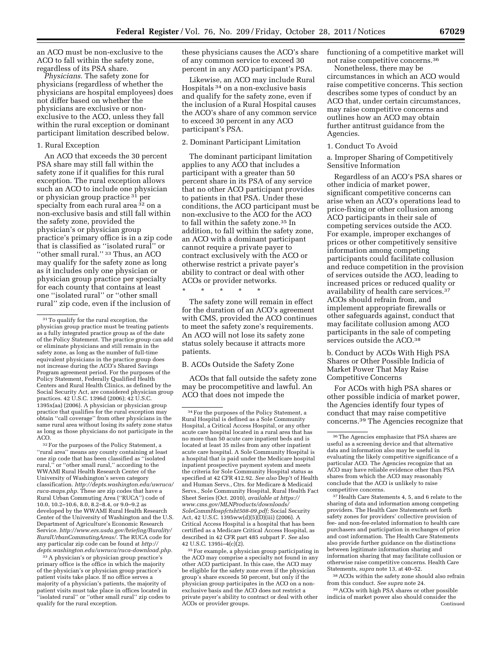an ACO must be non-exclusive to the ACO to fall within the safety zone, regardless of its PSA share.

*Physicians.* The safety zone for physicians (regardless of whether the physicians are hospital employees) does not differ based on whether the physicians are exclusive or nonexclusive to the ACO, unless they fall within the rural exception or dominant participant limitation described below.

#### 1. Rural Exception

An ACO that exceeds the 30 percent PSA share may still fall within the safety zone if it qualifies for this rural exception. The rural exception allows such an ACO to include one physician or physician group practice 31 per specialty from each rural area<sup>32</sup> on a non-exclusive basis and still fall within the safety zone, provided the physician's or physician group practice's primary office is in a zip code that is classified as ''isolated rural'' or ''other small rural.'' 33 Thus, an ACO may qualify for the safety zone as long as it includes only one physician or physician group practice per specialty for each county that contains at least one ''isolated rural'' or ''other small rural'' zip code, even if the inclusion of

32For the purposes of the Policy Statement, a ''rural area'' means any county containing at least one zip code that has been classified as ''isolated rural,'' or ''other small rural,'' according to the WWAMI Rural Health Research Center of the University of Washington's seven category classification. *[http://depts.washington.edu/uwruca/](http://depts.washington.edu/uwruca/ruca-maps.php)  [ruca-maps.php.](http://depts.washington.edu/uwruca/ruca-maps.php)* These are zip codes that have a Rural Urban Commuting Area (''RUCA'') code of 10.0, 10.2–10.6, 8.0, 8.2–8.4, or 9.0–9.2 as developed by the WWAMI Rural Health Research Center of the University of Washington and the U.S. Department of Agriculture's Economic Research Service. *[http://www.ers.usda.gov/briefing/Rurality/](http://www.ers.usda.gov/briefing/Rurality/RuralUrbanCommutingAreas/)  [RuralUrbanCommutingAreas/.](http://www.ers.usda.gov/briefing/Rurality/RuralUrbanCommutingAreas/)* The RUCA code for any particular zip code can be found at *[http://](http://depts.washington.edu/uwruca/ruca-download.php) [depts.washington.edu/uwruca/ruca-download.php.](http://depts.washington.edu/uwruca/ruca-download.php)* 

33A physician's or physician group practice's primary office is the office in which the majority of the physician's or physician group practice's patient visits take place. If no office serves a majority of a physician's patients, the majority of patient visits must take place in offices located in 'isolated rural" or "other small rural" zip codes to qualify for the rural exception.

these physicians causes the ACO's share of any common service to exceed 30 percent in any ACO participant's PSA.

Likewise, an ACO may include Rural Hospitals 34 on a non-exclusive basis and qualify for the safety zone, even if the inclusion of a Rural Hospital causes the ACO's share of any common service to exceed 30 percent in any ACO participant's PSA.

#### 2. Dominant Participant Limitation

The dominant participant limitation applies to any ACO that includes a participant with a greater than 50 percent share in its PSA of any service that no other ACO participant provides to patients in that PSA. Under these conditions, the ACO participant must be non-exclusive to the ACO for the ACO to fall within the safety zone.35 In addition, to fall within the safety zone, an ACO with a dominant participant cannot require a private payer to contract exclusively with the ACO or otherwise restrict a private payer's ability to contract or deal with other ACOs or provider networks.

\* \* \* \* \*

The safety zone will remain in effect for the duration of an ACO's agreement with CMS, provided the ACO continues to meet the safety zone's requirements. An ACO will not lose its safety zone status solely because it attracts more patients.

#### B. ACOs Outside the Safety Zone

ACOs that fall outside the safety zone may be procompetitive and lawful. An ACO that does not impede the

35For example, a physician group participating in the ACO may comprise a specialty not found in any other ACO participant. In this case, the ACO may be eligible for the safety zone even if the physician group's share exceeds 50 percent, but only if the physician group participates in the ACO on a nonexclusive basis and the ACO does not restrict a private payer's ability to contract or deal with other ACOs or provider groups.

functioning of a competitive market will not raise competitive concerns.36

Nonetheless, there may be circumstances in which an ACO would raise competitive concerns. This section describes some types of conduct by an ACO that, under certain circumstances, may raise competitive concerns and outlines how an ACO may obtain further antitrust guidance from the Agencies.

#### 1. Conduct To Avoid

a. Improper Sharing of Competitively Sensitive Information

Regardless of an ACO's PSA shares or other indicia of market power, significant competitive concerns can arise when an ACO's operations lead to price-fixing or other collusion among ACO participants in their sale of competing services outside the ACO. For example, improper exchanges of prices or other competitively sensitive information among competing participants could facilitate collusion and reduce competition in the provision of services outside the ACO, leading to increased prices or reduced quality or availability of health care services.37 ACOs should refrain from, and implement appropriate firewalls or other safeguards against, conduct that may facilitate collusion among ACO participants in the sale of competing services outside the ACO.38

b. Conduct by ACOs With High PSA Shares or Other Possible Indicia of Market Power That May Raise Competitive Concerns

For ACOs with high PSA shares or other possible indicia of market power, the Agencies identify four types of conduct that may raise competitive concerns.39 The Agencies recognize that

37Health Care Statements 4, 5, and 6 relate to the sharing of data and information among competing providers. The Health Care Statements set forth safety zones for providers' collective provision of fee- and non-fee-related information to health care purchasers and participation in exchanges of price and cost information. The Health Care Statements also provide further guidance on the distinctions between legitimate information sharing and information sharing that may facilitate collusion or otherwise raise competitive concerns. Health Care Statements, *supra* note 13, at 40–52.

38ACOs within the safety zone should also refrain from this conduct. *See supra* note 24.

39ACOs with high PSA shares or other possible indicia of market power also should consider the Continued

 $^{\rm 31}$  To qualify for the rural exception, the physician group practice must be treating patients as a fully integrated practice group as of the date of the Policy Statement. The practice group can add or eliminate physicians and still remain in the safety zone, as long as the number of full-time equivalent physicians in the practice group does not increase during the ACO's Shared Savings Program agreement period. For the purposes of the Policy Statement, Federally Qualified Health Centers and Rural Health Clinics, as defined by the Social Security Act, are considered physician group practices. 42 U.S.C. 1396d (2006); 42 U.S.C. 1395x(aa) (2006). A physician or physician group practice that qualifies for the rural exception may obtain ''call coverage'' from other physicians in the same rural area without losing its safety zone status as long as those physicians do not participate in the ACO.

<sup>34</sup>For the purposes of the Policy Statement, a Rural Hospital is defined as a Sole Community Hospital, a Critical Access Hospital, or any other acute care hospital located in a rural area that has no more than 50 acute care inpatient beds and is located at least 35 miles from any other inpatient acute care hospital. A Sole Community Hospital is a hospital that is paid under the Medicare hospital inpatient prospective payment system and meets the criteria for Sole Community Hospital status as specified at 42 CFR 412.92. *See also* Dep't of Health and Human Servs., Ctrs. for Medicare & Medicaid Servs., Sole Community Hospital, Rural Health Fact Sheet Series (Oct. 2010), *available at [https://](https://www.cms.gov/MLNProducts/downloads/SoleCommHospfctsht508-09.pdf)  [www.cms.gov/MLNProducts/downloads/](https://www.cms.gov/MLNProducts/downloads/SoleCommHospfctsht508-09.pdf)  [SoleCommHospfctsht508-09.pdf;](https://www.cms.gov/MLNProducts/downloads/SoleCommHospfctsht508-09.pdf)* Social Security Act, 42 U.S.C. 1395ww(d)(5)(D)(iii) (2006). A Critical Access Hospital is a hospital that has been certified as a Medicare Critical Access Hospital, as described in 42 CFR part 485 subpart F. *See* also 42 U.S.C. 1395i–4(c)(2).

<sup>36</sup>The Agencies emphasize that PSA shares are useful as a screening device and that alternative data and information also may be useful in evaluating the likely competitive significance of a particular ACO. The Agencies recognize that an ACO may have reliable evidence other than PSA shares from which the ACO may reasonably conclude that the ACO is unlikely to raise competitive concerns.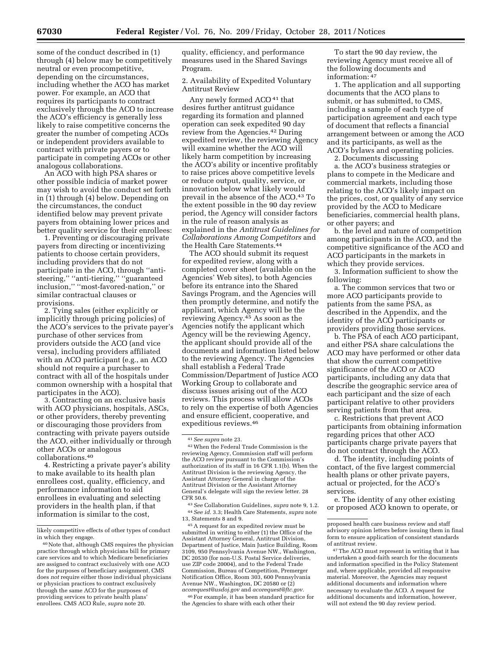some of the conduct described in (1) through (4) below may be competitively neutral or even procompetitive, depending on the circumstances, including whether the ACO has market power. For example, an ACO that requires its participants to contract exclusively through the ACO to increase the ACO's efficiency is generally less likely to raise competitive concerns the greater the number of competing ACOs or independent providers available to contract with private payers or to participate in competing ACOs or other analogous collaborations.

An ACO with high PSA shares or other possible indicia of market power may wish to avoid the conduct set forth in (1) through (4) below. Depending on the circumstances, the conduct identified below may prevent private payers from obtaining lower prices and better quality service for their enrollees:

1. Preventing or discouraging private payers from directing or incentivizing patients to choose certain providers, including providers that do not participate in the ACO, through ''antisteering,'' ''anti-tiering,'' ''guaranteed inclusion,'' ''most-favored-nation,'' or similar contractual clauses or provisions.

2. Tying sales (either explicitly or implicitly through pricing policies) of the ACO's services to the private payer's purchase of other services from providers outside the ACO (and vice versa), including providers affiliated with an ACO participant (e.g., an ACO should not require a purchaser to contract with all of the hospitals under common ownership with a hospital that participates in the ACO).

3. Contracting on an exclusive basis with ACO physicians, hospitals, ASCs, or other providers, thereby preventing or discouraging those providers from contracting with private payers outside the ACO, either individually or through other ACOs or analogous collaborations.40

4. Restricting a private payer's ability to make available to its health plan enrollees cost, quality, efficiency, and performance information to aid enrollees in evaluating and selecting providers in the health plan, if that information is similar to the cost,

quality, efficiency, and performance measures used in the Shared Savings Program.

2. Availability of Expedited Voluntary Antitrust Review

Any newly formed ACO 41 that desires further antitrust guidance regarding its formation and planned operation can seek expedited 90 day review from the Agencies.42 During expedited review, the reviewing Agency will examine whether the ACO will likely harm competition by increasing the ACO's ability or incentive profitably to raise prices above competitive levels or reduce output, quality, service, or innovation below what likely would prevail in the absence of the ACO.43 To the extent possible in the 90 day review period, the Agency will consider factors in the rule of reason analysis as explained in the *Antitrust Guidelines for Collaborations Among Competitors* and the Health Care Statements.44

The ACO should submit its request for expedited review, along with a completed cover sheet (available on the Agencies' Web sites), to both Agencies before its entrance into the Shared Savings Program, and the Agencies will then promptly determine, and notify the applicant, which Agency will be the reviewing Agency.45 As soon as the Agencies notify the applicant which Agency will be the reviewing Agency, the applicant should provide all of the documents and information listed below to the reviewing Agency. The Agencies shall establish a Federal Trade Commission/Department of Justice ACO Working Group to collaborate and discuss issues arising out of the ACO reviews. This process will allow ACOs to rely on the expertise of both Agencies and ensure efficient, cooperative, and expeditious reviews.46

<sup>41</sup>*See supra* note 23. 42When the Federal Trade Commission is the reviewing Agency, Commission staff will perform the ACO review pursuant to the Commission's authorization of its staff in 16 CFR 1.1(b). When the Antitrust Division is the reviewing Agency, the Assistant Attorney General in charge of the Antitrust Division or the Assistant Attorney General's delegate will sign the review letter. 28

CFR 50.6.<br>43 See Collaboration Guidelines, supra note 9, 1.2. <sup>44</sup> See id. 3.3; Health Care Statements, *supra* note 13, Statements 8 and 9.

<sup>45</sup> A request for an expedited review must be submitted in writing to either (1) the Office of the Assistant Attorney General, Antitrust Division, Department of Justice, Main Justice Building, Room 3109, 950 Pennsylvania Avenue NW., Washington, DC 20530 (for non-U.S. Postal Service deliveries, use ZIP code 20004), and to the Federal Trade Commission, Bureau of Competition, Premerger Notification Office, Room 303, 600 Pennsylvania Avenue NW., Washington, DC 20580 or (2) *[acorequest@usdoj.gov](mailto:acorequest@usdoj.gov)* and *[acorequest@ftc.gov.](mailto:acorequest@ftc.gov)* 

46For example, it has been standard practice for the Agencies to share with each other their

To start the 90 day review, the reviewing Agency must receive all of the following documents and information: 47

1. The application and all supporting documents that the ACO plans to submit, or has submitted, to CMS, including a sample of each type of participation agreement and each type of document that reflects a financial arrangement between or among the ACO and its participants, as well as the ACO's bylaws and operating policies.

2. Documents discussing

a. the ACO's business strategies or plans to compete in the Medicare and commercial markets, including those relating to the ACO's likely impact on the prices, cost, or quality of any service provided by the ACO to Medicare beneficiaries, commercial health plans, or other payers; and

b. the level and nature of competition among participants in the ACO, and the competitive significance of the ACO and ACO participants in the markets in which they provide services.

3. Information sufficient to show the following:

a. The common services that two or more ACO participants provide to patients from the same PSA, as described in the Appendix, and the identity of the ACO participants or providers providing those services.

b. The PSA of each ACO participant, and either PSA share calculations the ACO may have performed or other data that show the current competitive significance of the ACO or ACO participants, including any data that describe the geographic service area of each participant and the size of each participant relative to other providers serving patients from that area.

c. Restrictions that prevent ACO participants from obtaining information regarding prices that other ACO participants charge private payers that do not contract through the ACO.

d. The identity, including points of contact, of the five largest commercial health plans or other private payers, actual or projected, for the ACO's services.

e. The identity of any other existing or proposed ACO known to operate, or

likely competitive effects of other types of conduct in which they engage.

<sup>40</sup>Note that, although CMS requires the physician practice through which physicians bill for primary care services and to which Medicare beneficiaries are assigned to contract exclusively with one ACO for the purposes of beneficiary assignment, CMS does *not* require either those individual physicians or physician practices to contract exclusively through the same ACO for the purposes of providing services to private health plans' enrollees. CMS ACO Rule, *supra* note 20.

proposed health care business review and staff advisory opinion letters before issuing them in final form to ensure application of consistent standards of antitrust review.

<sup>47</sup>The ACO must represent in writing that it has undertaken a good-faith search for the documents and information specified in the Policy Statement and, where applicable, provided all responsive material. Moreover, the Agencies may request additional documents and information where necessary to evaluate the ACO. A request for additional documents and information, however, will not extend the 90 day review period.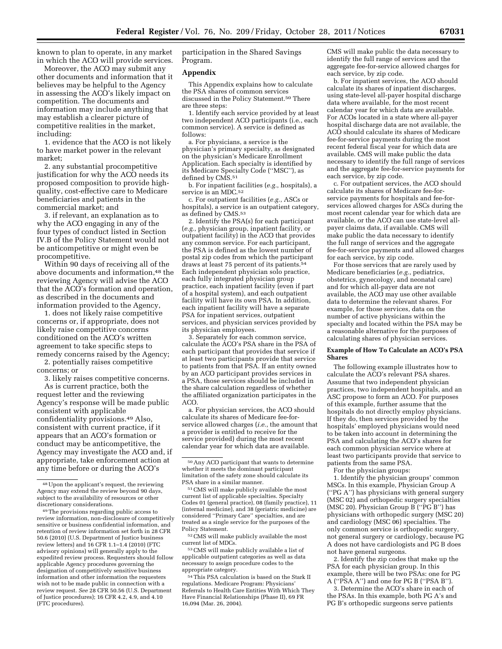known to plan to operate, in any market in which the ACO will provide services.

Moreover, the ACO may submit any other documents and information that it believes may be helpful to the Agency in assessing the ACO's likely impact on competition. The documents and information may include anything that may establish a clearer picture of competitive realities in the market, including:

1. evidence that the ACO is not likely to have market power in the relevant market;

2. any substantial procompetitive justification for why the ACO needs its proposed composition to provide highquality, cost-effective care to Medicare beneficiaries and patients in the commercial market; and

3. if relevant, an explanation as to why the ACO engaging in any of the four types of conduct listed in Section IV.B of the Policy Statement would not be anticompetitive or might even be procompetitive.

Within 90 days of receiving all of the above documents and information,<sup>48</sup> the reviewing Agency will advise the ACO that the ACO's formation and operation, as described in the documents and information provided to the Agency,

1. does not likely raise competitive concerns or, if appropriate, does not likely raise competitive concerns conditioned on the ACO's written agreement to take specific steps to remedy concerns raised by the Agency;

2. potentially raises competitive concerns; or

3. likely raises competitive concerns.

As is current practice, both the request letter and the reviewing Agency's response will be made public consistent with applicable confidentiality provisions.49 Also, consistent with current practice, if it appears that an ACO's formation or conduct may be anticompetitive, the Agency may investigate the ACO and, if appropriate, take enforcement action at any time before or during the ACO's

participation in the Shared Savings Program.

#### **Appendix**

This Appendix explains how to calculate the PSA shares of common services discussed in the Policy Statement.50 There are three steps:

1. Identify each service provided by at least two independent ACO participants (i.e., each common service). A service is defined as follows:

a. For physicians, a service is the physician's primary specialty, as designated on the physician's Medicare Enrollment Application. Each specialty is identified by its Medicare Specialty Code (''MSC''), as defined by CMS.<sup>51</sup>

b. For inpatient facilities (*e.g.*, hospitals), a service is an MDC.<sup>52</sup>

c. For outpatient facilities (*e.g.*, ASCs or hospitals), a service is an outpatient category, as defined by CMS.53

2. Identify the PSA(s) for each participant (*e.g.,* physician group, inpatient facility, or outpatient facility) in the ACO that provides any common service. For each participant, the PSA is defined as the lowest number of postal zip codes from which the participant draws at least 75 percent of its patients.54 Each independent physician solo practice, each fully integrated physician group practice, each inpatient facility (even if part of a hospital system), and each outpatient facility will have its own PSA. In addition, each inpatient facility will have a separate PSA for inpatient services, outpatient services, and physician services provided by its physician employees.

3. Separately for each common service, calculate the ACO's PSA share in the PSA of each participant that provides that service if at least two participants provide that service to patients from that PSA. If an entity owned by an ACO participant provides services in a PSA, those services should be included in the share calculation regardless of whether the affiliated organization participates in the ACO.

a. For physician services, the ACO should calculate its shares of Medicare fee-forservice allowed charges (*i.e.*, the amount that a provider is entitled to receive for the service provided) during the most recent calendar year for which data are available.

51CMS will make publicly available the most current list of applicable specialties. Specialty Codes 01 (general practice), 08 (family practice), 11 (internal medicine), and 38 (geriatric medicine) are considered ''Primary Care'' specialties, and are treated as a single service for the purposes of the Policy Statement.

52CMS will make publicly available the most current list of MDCs.

53CMS will make publicly available a list of applicable outpatient categories as well as data necessary to assign procedure codes to the appropriate category.

54This PSA calculation is based on the Stark II regulations. Medicare Program: Physicians' Referrals to Health Care Entities With Which They Have Financial Relationships (Phase II), 69 FR 16,094 (Mar. 26, 2004).

CMS will make public the data necessary to identify the full range of services and the aggregate fee-for-service allowed charges for each service, by zip code.

b. For inpatient services, the ACO should calculate its shares of inpatient discharges, using state-level all-payer hospital discharge data where available, for the most recent calendar year for which data are available. For ACOs located in a state where all-payer hospital discharge data are not available, the ACO should calculate its shares of Medicare fee-for-service payments during the most recent federal fiscal year for which data are available. CMS will make public the data necessary to identify the full range of services and the aggregate fee-for-service payments for each service, by zip code.

c. For outpatient services, the ACO should calculate its shares of Medicare fee-forservice payments for hospitals and fee-forservices allowed charges for ASCs during the most recent calendar year for which data are available, or the ACO can use state-level allpayer claims data, if available. CMS will make public the data necessary to identify the full range of services and the aggregate fee-for-service payments and allowed charges for each service, by zip code.

For those services that are rarely used by Medicare beneficiaries (*e.g.*, pediatrics, obstetrics, gynecology, and neonatal care) and for which all-payer data are not available, the ACO may use other available data to determine the relevant shares. For example, for those services, data on the number of active physicians within the specialty and located within the PSA may be a reasonable alternative for the purposes of calculating shares of physician services.

#### **Example of How To Calculate an ACO's PSA Shares**

The following example illustrates how to calculate the ACO's relevant PSA shares. Assume that two independent physician practices, two independent hospitals, and an ASC propose to form an ACO. For purposes of this example, further assume that the hospitals do not directly employ physicians. If they do, then services provided by the hospitals' employed physicians would need to be taken into account in determining the PSA and calculating the ACO's shares for each common physician service where at least two participants provide that service to patients from the same PSA.

For the physician groups:

1. Identify the physician groups' common MSCs. In this example, Physician Group A (''PG A'') has physicians with general surgery (MSC 02) and orthopedic surgery specialties (MSC 20). Physician Group B (''PG B'') has physicians with orthopedic surgery (MSC 20) and cardiology (MSC 06) specialties. The only common service is orthopedic surgery, not general surgery or cardiology, because PG A does not have cardiologists and PG B does not have general surgeons.

2. Identify the zip codes that make up the PSA for each physician group. In this example, there will be two PSAs: one for PG A (''PSA A'') and one for PG B (''PSA B'').

3. Determine the ACO's share in each of the PSAs. In this example, both PG A's and PG B's orthopedic surgeons serve patients

<sup>48</sup>Upon the applicant's request, the reviewing Agency may extend the review beyond 90 days, subject to the availability of resources or other discretionary considerations.

<sup>49</sup>The provisions regarding public access to review information, non-disclosure of competitively sensitive or business confidential information, and retention of review information set forth in 28 CFR 50.6 (2010) (U.S. Department of Justice business review letters) and 16 CFR 1.1–1.4 (2010) (FTC advisory opinions) will generally apply to the expedited review process. Requesters should follow applicable Agency procedures governing the designation of competitively sensitive business information and other information the requesters wish not to be made public in connection with a review request. *See* 28 CFR 50.56 (U.S. Department of Justice procedures); 16 CFR 4.2, 4.9, and 4.10 (FTC procedures).

<sup>50</sup>Any ACO participant that wants to determine whether it meets the dominant participant limitation of the safety zone should calculate its PSA share in a similar manner.